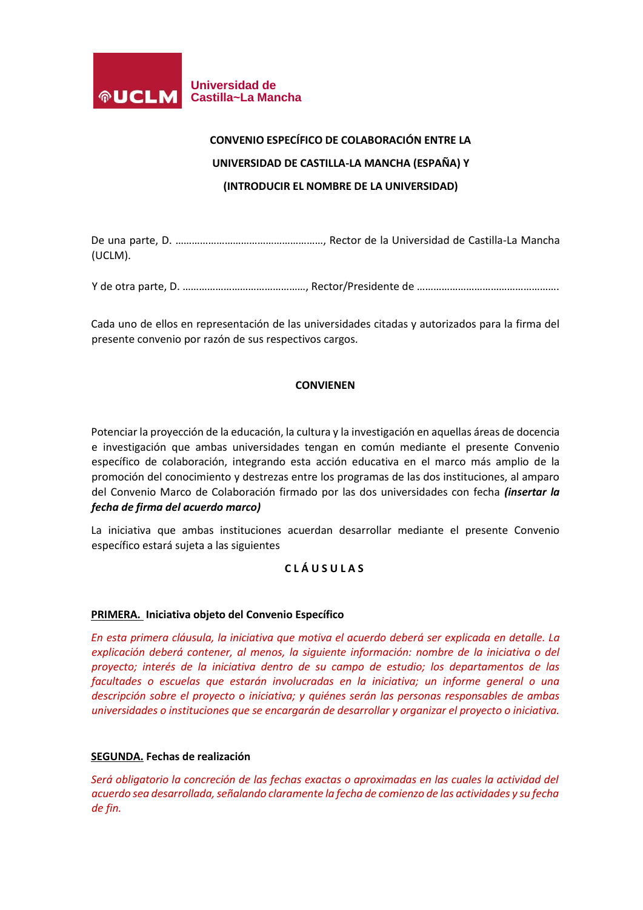

# **CONVENIO ESPECÍFICO DE COLABORACIÓN ENTRE LA UNIVERSIDAD DE CASTILLA-LA MANCHA (ESPAÑA) Y (INTRODUCIR EL NOMBRE DE LA UNIVERSIDAD)**

De una parte, D. ………………………………………………, Rector de la Universidad de Castilla-La Mancha (UCLM).

Y de otra parte, D. ………………………………………, Rector/Presidente de …………………………………………….

Cada uno de ellos en representación de las universidades citadas y autorizados para la firma del presente convenio por razón de sus respectivos cargos.

# **CONVIENEN**

Potenciar la proyección de la educación, la cultura y la investigación en aquellas áreas de docencia e investigación que ambas universidades tengan en común mediante el presente Convenio específico de colaboración, integrando esta acción educativa en el marco más amplio de la promoción del conocimiento y destrezas entre los programas de las dos instituciones, al amparo del Convenio Marco de Colaboración firmado por las dos universidades con fecha *(insertar la fecha de firma del acuerdo marco)*

La iniciativa que ambas instituciones acuerdan desarrollar mediante el presente Convenio específico estará sujeta a las siguientes

# **C L Á U S U L A S**

## **PRIMERA. Iniciativa objeto del Convenio Específico**

*En esta primera cláusula, la iniciativa que motiva el acuerdo deberá ser explicada en detalle. La explicación deberá contener, al menos, la siguiente información: nombre de la iniciativa o del proyecto; interés de la iniciativa dentro de su campo de estudio; los departamentos de las facultades o escuelas que estarán involucradas en la iniciativa; un informe general o una descripción sobre el proyecto o iniciativa; y quiénes serán las personas responsables de ambas universidades o instituciones que se encargarán de desarrollar y organizar el proyecto o iniciativa.*

## **SEGUNDA. Fechas de realización**

*Será obligatorio la concreción de las fechas exactas o aproximadas en las cuales la actividad del acuerdo sea desarrollada, señalando claramente la fecha de comienzo de las actividades y su fecha de fin.*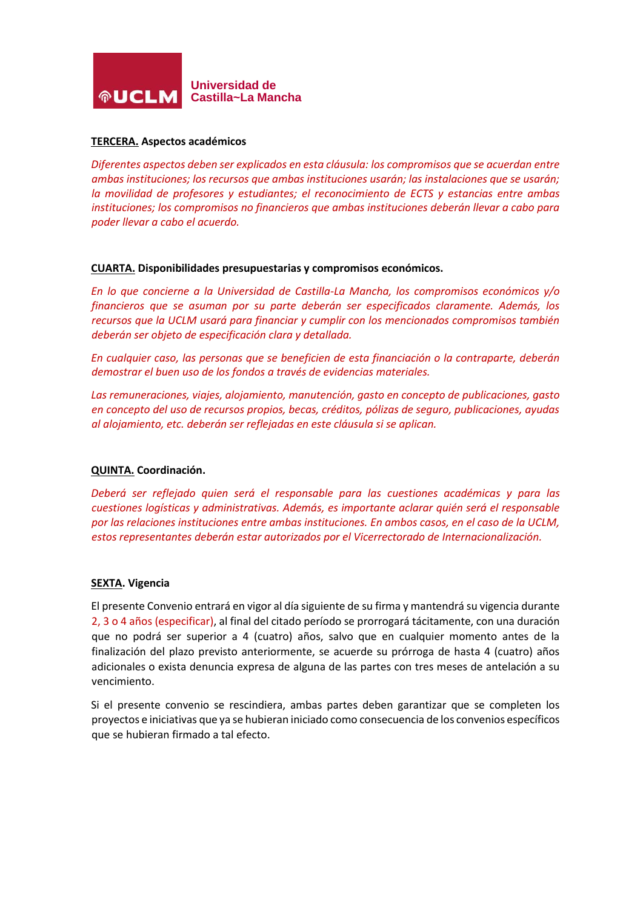

## **TERCERA. Aspectos académicos**

*Diferentes aspectos deben ser explicados en esta cláusula: los compromisos que se acuerdan entre ambas instituciones; los recursos que ambas instituciones usarán; las instalaciones que se usarán; la movilidad de profesores y estudiantes; el reconocimiento de ECTS y estancias entre ambas instituciones; los compromisos no financieros que ambas instituciones deberán llevar a cabo para poder llevar a cabo el acuerdo.*

#### **CUARTA. Disponibilidades presupuestarias y compromisos económicos.**

*En lo que concierne a la Universidad de Castilla-La Mancha, los compromisos económicos y/o financieros que se asuman por su parte deberán ser especificados claramente. Además, los recursos que la UCLM usará para financiar y cumplir con los mencionados compromisos también deberán ser objeto de especificación clara y detallada.*

*En cualquier caso, las personas que se beneficien de esta financiación o la contraparte, deberán demostrar el buen uso de los fondos a través de evidencias materiales.*

*Las remuneraciones, viajes, alojamiento, manutención, gasto en concepto de publicaciones, gasto en concepto del uso de recursos propios, becas, créditos, pólizas de seguro, publicaciones, ayudas al alojamiento, etc. deberán ser reflejadas en este cláusula si se aplican.*

#### **QUINTA. Coordinación.**

*Deberá ser reflejado quien será el responsable para las cuestiones académicas y para las cuestiones logísticas y administrativas. Además, es importante aclarar quién será el responsable por las relaciones instituciones entre ambas instituciones. En ambos casos, en el caso de la UCLM, estos representantes deberán estar autorizados por el Vicerrectorado de Internacionalización.*

#### **SEXTA. Vigencia**

El presente Convenio entrará en vigor al día siguiente de su firma y mantendrá su vigencia durante 2, 3 o 4 años (especificar), al final del citado período se prorrogará tácitamente, con una duración que no podrá ser superior a 4 (cuatro) años, salvo que en cualquier momento antes de la finalización del plazo previsto anteriormente, se acuerde su prórroga de hasta 4 (cuatro) años adicionales o exista denuncia expresa de alguna de las partes con tres meses de antelación a su vencimiento.

Si el presente convenio se rescindiera, ambas partes deben garantizar que se completen los proyectos e iniciativas que ya se hubieran iniciado como consecuencia de los convenios específicos que se hubieran firmado a tal efecto.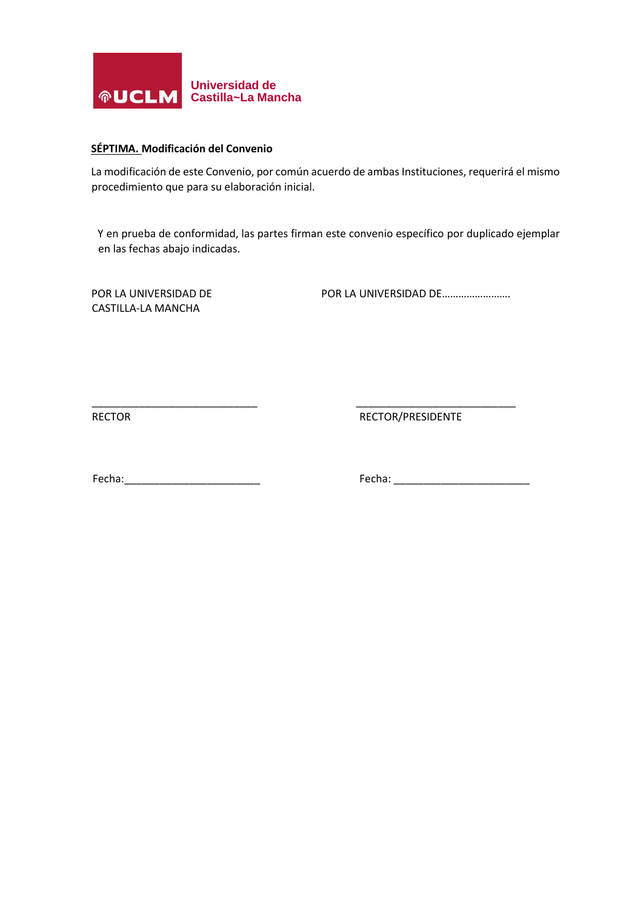

# **SÉPTIMA. Modificación del Convenio**

La modificación de este Convenio, por común acuerdo de ambas Instituciones, requerirá el mismo procedimiento que para su elaboración inicial.

Y en prueba de conformidad, las partes firman este convenio específico por duplicado ejemplar en las fechas abajo indicadas.

\_\_\_\_\_\_\_\_\_\_\_\_\_\_\_\_\_\_\_\_\_\_\_\_\_\_\_\_ \_\_\_\_\_\_\_\_\_\_\_\_\_\_\_\_\_\_\_\_\_\_\_\_\_\_\_

CASTILLA-LA MANCHA

POR LA UNIVERSIDAD DE POR LA UNIVERSIDAD DE………………………

RECTOR RECTOR RECTOR RECTOR RECTOR

Fecha:\_\_\_\_\_\_\_\_\_\_\_\_\_\_\_\_\_\_\_\_\_\_\_ Fecha: \_\_\_\_\_\_\_\_\_\_\_\_\_\_\_\_\_\_\_\_\_\_\_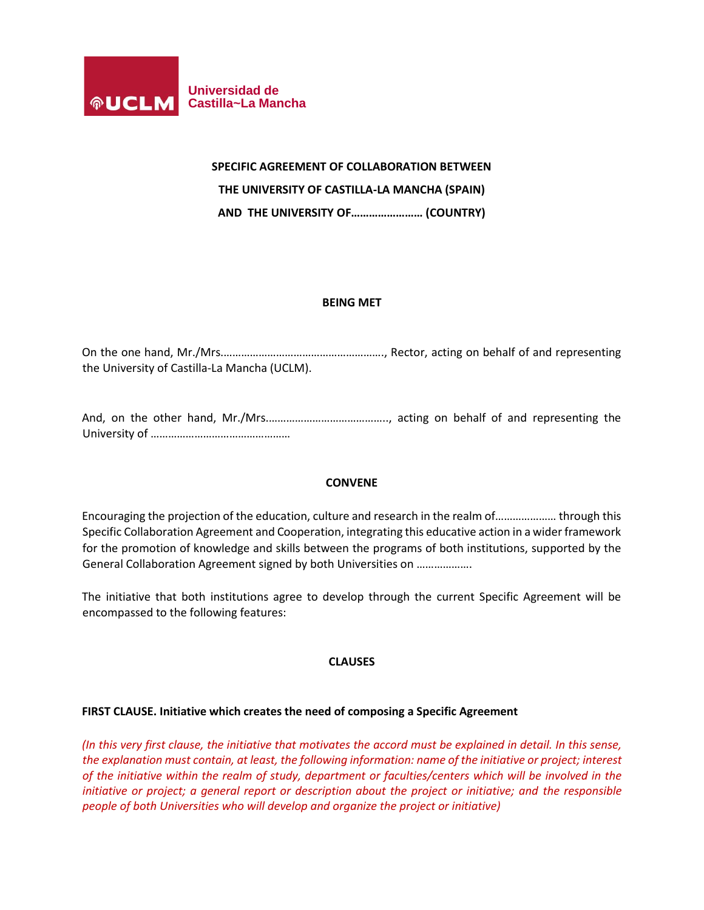

## **SPECIFIC AGREEMENT OF COLLABORATION BETWEEN**

**THE UNIVERSITY OF CASTILLA-LA MANCHA (SPAIN)**

**AND THE UNIVERSITY OF…………………… (COUNTRY)**

## **BEING MET**

On the one hand, Mr./Mrs.………………………………………………., Rector, acting on behalf of and representing the University of Castilla-La Mancha (UCLM).

And, on the other hand, Mr./Mrs.………………………………….., acting on behalf of and representing the University of …………………………………………

## **CONVENE**

Encouraging the projection of the education, culture and research in the realm of………………… through this Specific Collaboration Agreement and Cooperation, integrating this educative action in a wider framework for the promotion of knowledge and skills between the programs of both institutions, supported by the General Collaboration Agreement signed by both Universities on ……………….

The initiative that both institutions agree to develop through the current Specific Agreement will be encompassed to the following features:

## **CLAUSES**

## **FIRST CLAUSE. Initiative which creates the need of composing a Specific Agreement**

*(In this very first clause, the initiative that motivates the accord must be explained in detail. In this sense, the explanation must contain, at least, the following information: name of the initiative or project; interest of the initiative within the realm of study, department or faculties/centers which will be involved in the initiative or project; a general report or description about the project or initiative; and the responsible people of both Universities who will develop and organize the project or initiative)*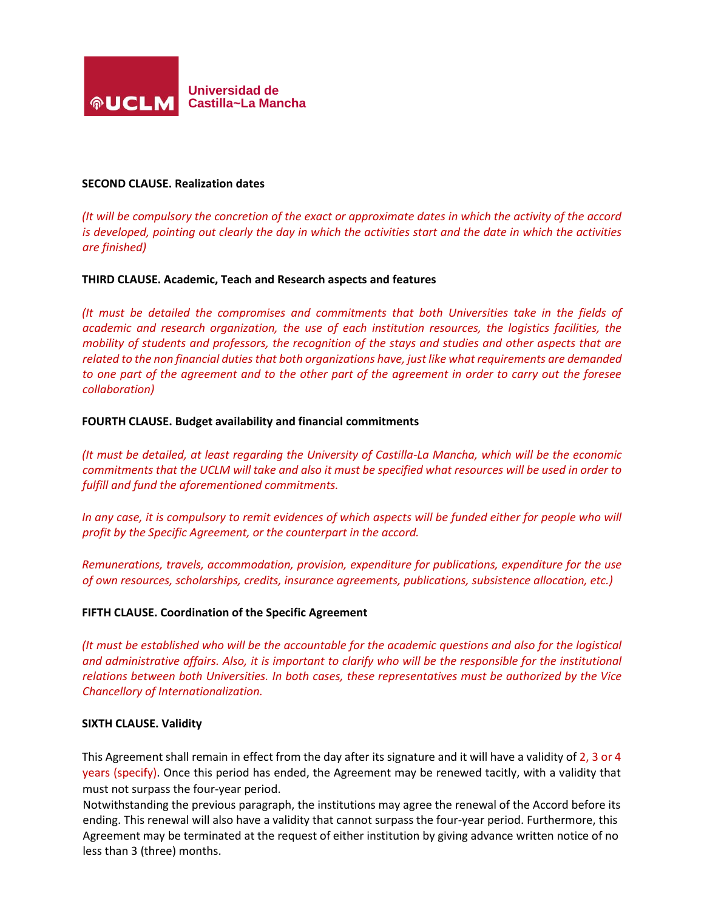

#### **SECOND CLAUSE. Realization dates**

*(It will be compulsory the concretion of the exact or approximate dates in which the activity of the accord is developed, pointing out clearly the day in which the activities start and the date in which the activities are finished)*

#### **THIRD CLAUSE. Academic, Teach and Research aspects and features**

*(It must be detailed the compromises and commitments that both Universities take in the fields of academic and research organization, the use of each institution resources, the logistics facilities, the mobility of students and professors, the recognition of the stays and studies and other aspects that are related to the non financial duties that both organizations have, just like what requirements are demanded to one part of the agreement and to the other part of the agreement in order to carry out the foresee collaboration)*

#### **FOURTH CLAUSE. Budget availability and financial commitments**

*(It must be detailed, at least regarding the University of Castilla-La Mancha, which will be the economic commitments that the UCLM will take and also it must be specified what resources will be used in order to fulfill and fund the aforementioned commitments.*

*In any case, it is compulsory to remit evidences of which aspects will be funded either for people who will profit by the Specific Agreement, or the counterpart in the accord.*

*Remunerations, travels, accommodation, provision, expenditure for publications, expenditure for the use of own resources, scholarships, credits, insurance agreements, publications, subsistence allocation, etc.)*

#### **FIFTH CLAUSE. Coordination of the Specific Agreement**

*(It must be established who will be the accountable for the academic questions and also for the logistical*  and administrative affairs. Also, it is important to clarify who will be the responsible for the institutional *relations between both Universities. In both cases, these representatives must be authorized by the Vice Chancellory of Internationalization.*

#### **SIXTH CLAUSE. Validity**

This Agreement shall remain in effect from the day after its signature and it will have a validity of 2, 3 or 4 years (specify). Once this period has ended, the Agreement may be renewed tacitly, with a validity that must not surpass the four-year period.

Notwithstanding the previous paragraph, the institutions may agree the renewal of the Accord before its ending. This renewal will also have a validity that cannot surpass the four-year period. Furthermore, this Agreement may be terminated at the request of either institution by giving advance written notice of no less than 3 (three) months.